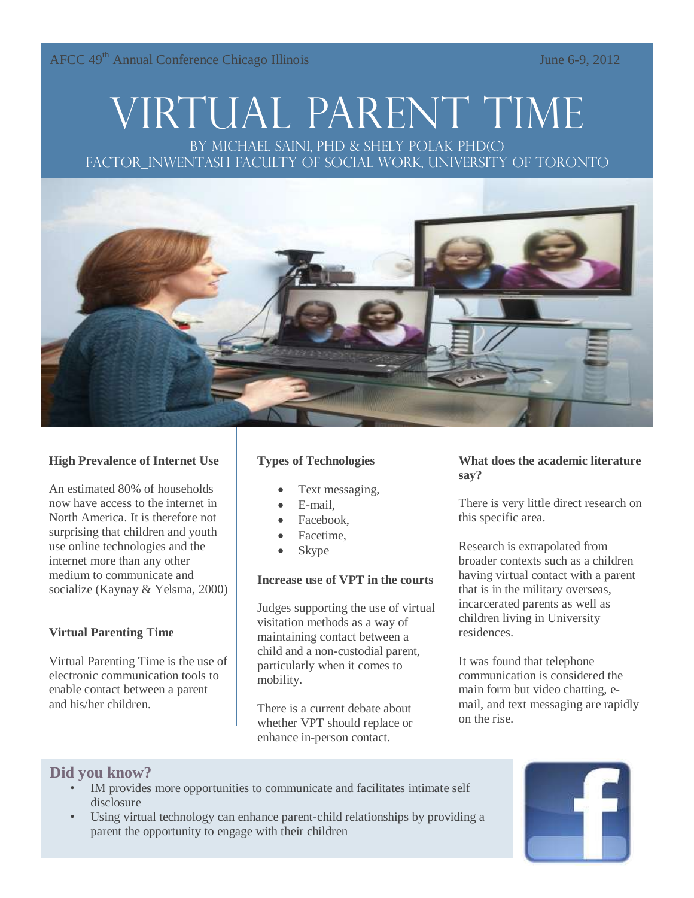AFCC 49<sup>th</sup> Annual Conference Chicago Illinois June 6-9, 2012

# Virtual Parent Time

By Michael Saini, PhD & Shely Polak Phd(c) FACTOR\_INWENTASH FACULTY OF SOCIAL WORK, UNIVERSITY OF TORONTO



#### **High Prevalence of Internet Use**

An estimated 80% of households now have access to the internet in North America. It is therefore not surprising that children and youth use online technologies and the internet more than any other medium to communicate and socialize (Kaynay & Yelsma, 2000)

#### **Virtual Parenting Time**

Virtual Parenting Time is the use of electronic communication tools to enable contact between a parent and his/her children.

#### **Types of Technologies**

- Text messaging,
- E-mail,
- Facebook,
- Facetime,
- Skype

#### **Increase use of VPT in the courts**

Judges supporting the use of virtual visitation methods as a way of maintaining contact between a child and a non-custodial parent, particularly when it comes to mobility.

There is a current debate about whether VPT should replace or enhance in-person contact.

#### **What does the academic literature say?**

There is very little direct research on this specific area.

Research is extrapolated from broader contexts such as a children having virtual contact with a parent that is in the military overseas, incarcerated parents as well as children living in University residences.

It was found that telephone communication is considered the main form but video chatting, email, and text messaging are rapidly on the rise.

## **Did you know?**

- IM provides more opportunities to communicate and facilitates intimate self disclosure
- Using virtual technology can enhance parent-child relationships by providing a parent the opportunity to engage with their children

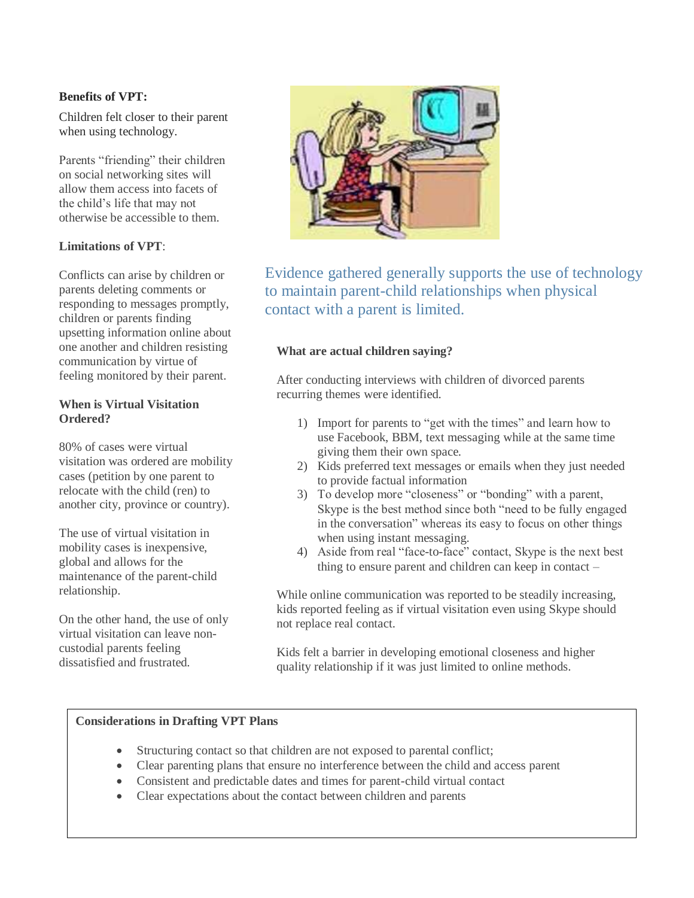#### **Benefits of VPT:**

Children felt closer to their parent when using technology.

Parents "friending" their children on social networking sites will allow them access into facets of the child's life that may not otherwise be accessible to them.

#### **Limitations of VPT**:

Conflicts can arise by children or parents deleting comments or responding to messages promptly, children or parents finding upsetting information online about one another and children resisting communication by virtue of feeling monitored by their parent.

#### **When is Virtual Visitation Ordered?**

80% of cases were virtual visitation was ordered are mobility cases (petition by one parent to relocate with the child (ren) to another city, province or country).

The use of virtual visitation in mobility cases is inexpensive, global and allows for the maintenance of the parent-child relationship.

On the other hand, the use of only virtual visitation can leave noncustodial parents feeling dissatisfied and frustrated.



Evidence gathered generally supports the use of technology to maintain parent-child relationships when physical contact with a parent is limited.

#### **What are actual children saying?**

After conducting interviews with children of divorced parents recurring themes were identified.

- 1) Import for parents to "get with the times" and learn how to use Facebook, BBM, text messaging while at the same time giving them their own space.
- 2) Kids preferred text messages or emails when they just needed to provide factual information
- 3) To develop more "closeness" or "bonding" with a parent, Skype is the best method since both "need to be fully engaged in the conversation" whereas its easy to focus on other things when using instant messaging.
- 4) Aside from real "face-to-face" contact, Skype is the next best thing to ensure parent and children can keep in contact –

While online communication was reported to be steadily increasing, kids reported feeling as if virtual visitation even using Skype should not replace real contact.

Kids felt a barrier in developing emotional closeness and higher quality relationship if it was just limited to online methods.

#### **Considerations in Drafting VPT Plans**

- Structuring contact so that children are not exposed to parental conflict;
- Clear parenting plans that ensure no interference between the child and access parent
- Consistent and predictable dates and times for parent-child virtual contact
- Clear expectations about the contact between children and parents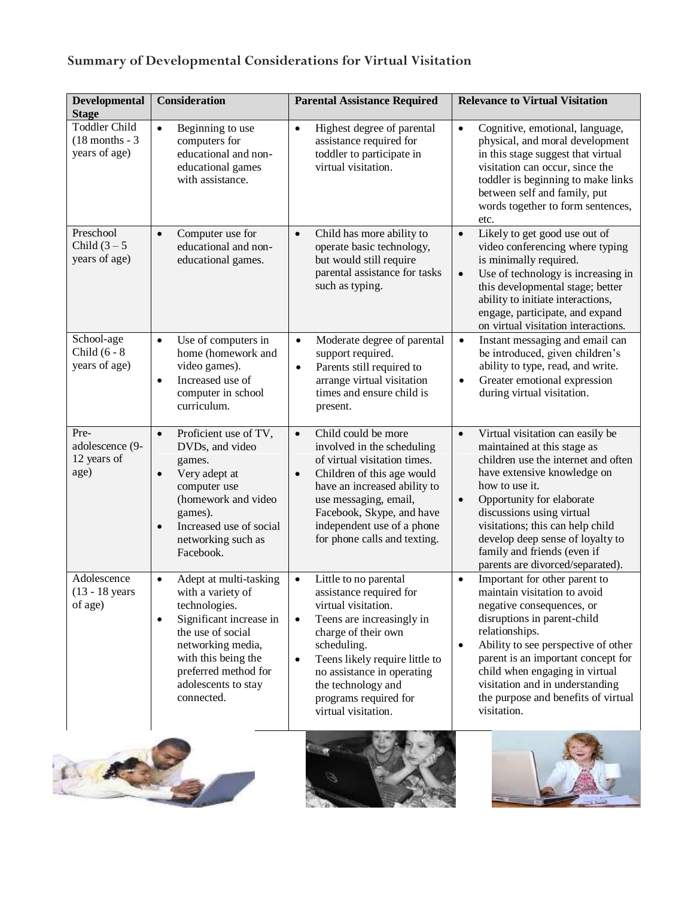# **Summary of Developmental Considerations for Virtual Visitation**

| Developmental<br><b>Stage</b>                             | <b>Consideration</b>                                                                                                                                                                                                               | <b>Parental Assistance Required</b>                                                                                                                                                                                                                                                                                     | <b>Relevance to Virtual Visitation</b>                                                                                                                                                                                                                                                                                                                                                 |
|-----------------------------------------------------------|------------------------------------------------------------------------------------------------------------------------------------------------------------------------------------------------------------------------------------|-------------------------------------------------------------------------------------------------------------------------------------------------------------------------------------------------------------------------------------------------------------------------------------------------------------------------|----------------------------------------------------------------------------------------------------------------------------------------------------------------------------------------------------------------------------------------------------------------------------------------------------------------------------------------------------------------------------------------|
| <b>Toddler Child</b><br>$(18$ months - 3<br>years of age) | Beginning to use<br>$\bullet$<br>computers for<br>educational and non-<br>educational games<br>with assistance.                                                                                                                    | Highest degree of parental<br>$\bullet$<br>assistance required for<br>toddler to participate in<br>virtual visitation.                                                                                                                                                                                                  | $\bullet$<br>Cognitive, emotional, language,<br>physical, and moral development<br>in this stage suggest that virtual<br>visitation can occur, since the<br>toddler is beginning to make links<br>between self and family, put<br>words together to form sentences,<br>etc.                                                                                                            |
| Preschool<br>Child $(3-5)$<br>years of age)               | Computer use for<br>$\bullet$<br>educational and non-<br>educational games.                                                                                                                                                        | Child has more ability to<br>$\bullet$<br>operate basic technology,<br>but would still require<br>parental assistance for tasks<br>such as typing.                                                                                                                                                                      | Likely to get good use out of<br>$\bullet$<br>video conferencing where typing<br>is minimally required.<br>Use of technology is increasing in<br>$\bullet$<br>this developmental stage; better<br>ability to initiate interactions,<br>engage, participate, and expand<br>on virtual visitation interactions.                                                                          |
| School-age<br>Child $(6 - 8)$<br>years of age)            | Use of computers in<br>$\bullet$<br>home (homework and<br>video games).<br>Increased use of<br>$\bullet$<br>computer in school<br>curriculum.                                                                                      | Moderate degree of parental<br>$\bullet$<br>support required.<br>Parents still required to<br>$\bullet$<br>arrange virtual visitation<br>times and ensure child is<br>present.                                                                                                                                          | Instant messaging and email can<br>$\bullet$<br>be introduced, given children's<br>ability to type, read, and write.<br>Greater emotional expression<br>$\bullet$<br>during virtual visitation.                                                                                                                                                                                        |
| Pre-<br>adolescence (9-<br>12 years of<br>age)            | Proficient use of TV,<br>$\bullet$<br>DVDs, and video<br>games.<br>Very adept at<br>$\bullet$<br>computer use<br>(homework and video<br>games).<br>Increased use of social<br>$\bullet$<br>networking such as<br>Facebook.         | Child could be more<br>$\bullet$<br>involved in the scheduling<br>of virtual visitation times.<br>Children of this age would<br>$\bullet$<br>have an increased ability to<br>use messaging, email,<br>Facebook, Skype, and have<br>independent use of a phone<br>for phone calls and texting.                           | Virtual visitation can easily be<br>$\bullet$<br>maintained at this stage as<br>children use the internet and often<br>have extensive knowledge on<br>how to use it.<br>Opportunity for elaborate<br>$\bullet$<br>discussions using virtual<br>visitations; this can help child<br>develop deep sense of loyalty to<br>family and friends (even if<br>parents are divorced/separated). |
| Adolescence<br>$(13 - 18$ years<br>of age)                | Adept at multi-tasking<br>$\bullet$<br>with a variety of<br>technologies.<br>Significant increase in<br>the use of social<br>networking media,<br>with this being the<br>preferred method for<br>adolescents to stay<br>connected. | Little to no parental<br>$\bullet$<br>assistance required for<br>virtual visitation.<br>Teens are increasingly in<br>$\bullet$<br>charge of their own<br>scheduling.<br>Teens likely require little to<br>$\bullet$<br>no assistance in operating<br>the technology and<br>programs required for<br>virtual visitation. | Important for other parent to<br>$\bullet$<br>maintain visitation to avoid<br>negative consequences, or<br>disruptions in parent-child<br>relationships.<br>Ability to see perspective of other<br>$\bullet$<br>parent is an important concept for<br>child when engaging in virtual<br>visitation and in understanding<br>the purpose and benefits of virtual<br>visitation.          |
|                                                           |                                                                                                                                                                                                                                    |                                                                                                                                                                                                                                                                                                                         |                                                                                                                                                                                                                                                                                                                                                                                        |